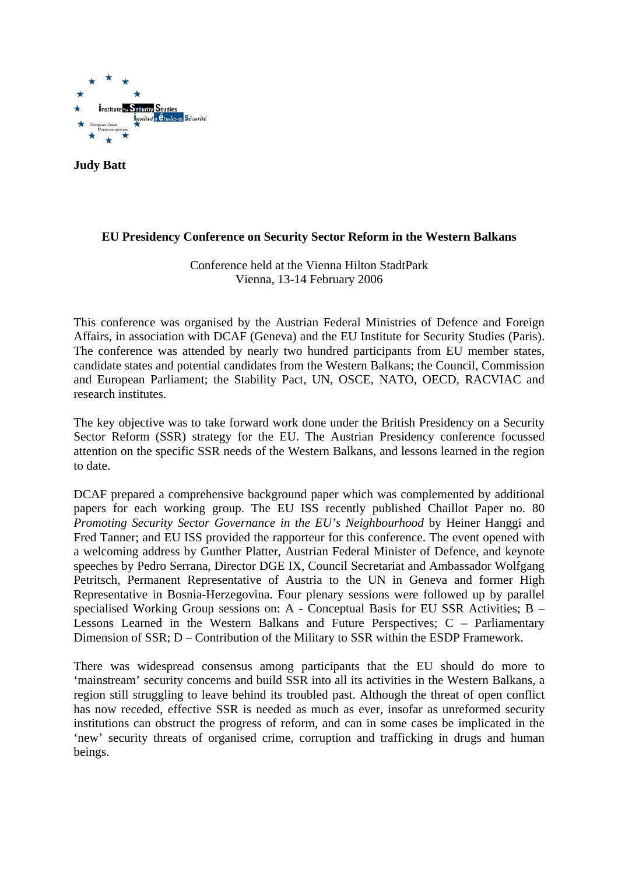

**Judy Batt**

# **EU Presidency Conference on Security Sector Reform in the Western Balkans**

Conference held at the Vienna Hilton StadtPark Vienna, 13-14 February 2006

This conference was organised by the Austrian Federal Ministries of Defence and Foreign Affairs, in association with DCAF (Geneva) and the EU Institute for Security Studies (Paris). The conference was attended by nearly two hundred participants from EU member states, candidate states and potential candidates from the Western Balkans; the Council, Commission and European Parliament; the Stability Pact, UN, OSCE, NATO, OECD, RACVIAC and research institutes.

The key objective was to take forward work done under the British Presidency on a Security Sector Reform (SSR) strategy for the EU. The Austrian Presidency conference focussed attention on the specific SSR needs of the Western Balkans, and lessons learned in the region to date.

DCAF prepared a comprehensive background paper which was complemented by additional papers for each working group. The EU ISS recently published Chaillot Paper no. 80 *Promoting Security Sector Governance in the EU's Neighbourhood* by Heiner Hanggi and Fred Tanner; and EU ISS provided the rapporteur for this conference. The event opened with a welcoming address by Gunther Platter, Austrian Federal Minister of Defence, and keynote speeches by Pedro Serrana, Director DGE IX, Council Secretariat and Ambassador Wolfgang Petritsch, Permanent Representative of Austria to the UN in Geneva and former High Representative in Bosnia-Herzegovina. Four plenary sessions were followed up by parallel specialised Working Group sessions on: A - Conceptual Basis for EU SSR Activities; B – Lessons Learned in the Western Balkans and Future Perspectives; C – Parliamentary Dimension of SSR; D – Contribution of the Military to SSR within the ESDP Framework.

There was widespread consensus among participants that the EU should do more to 'mainstream' security concerns and build SSR into all its activities in the Western Balkans, a region still struggling to leave behind its troubled past. Although the threat of open conflict has now receded, effective SSR is needed as much as ever, insofar as unreformed security institutions can obstruct the progress of reform, and can in some cases be implicated in the 'new' security threats of organised crime, corruption and trafficking in drugs and human beings.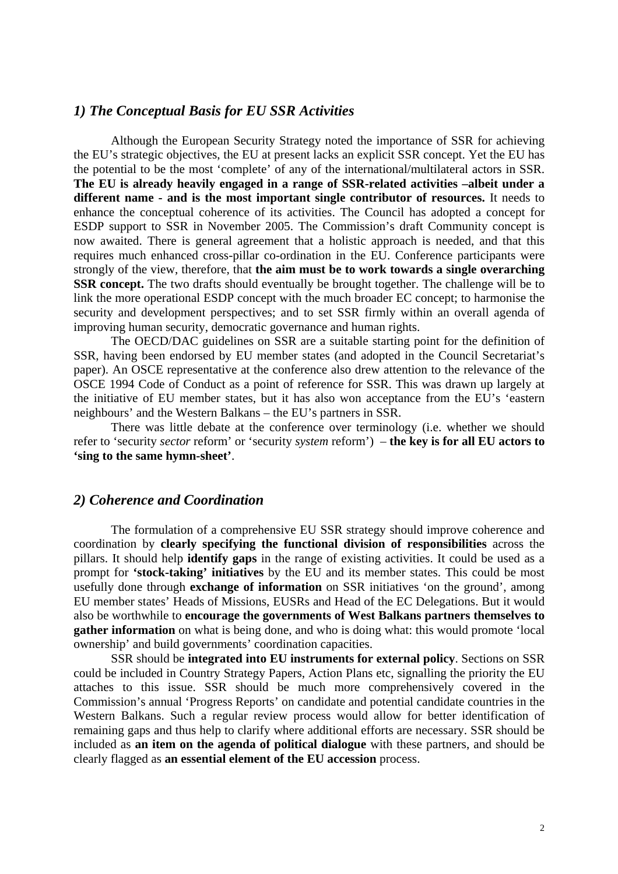# *1) The Conceptual Basis for EU SSR Activities*

Although the European Security Strategy noted the importance of SSR for achieving the EU's strategic objectives, the EU at present lacks an explicit SSR concept. Yet the EU has the potential to be the most 'complete' of any of the international/multilateral actors in SSR. **The EU is already heavily engaged in a range of SSR-related activities –albeit under a different name - and is the most important single contributor of resources.** It needs to enhance the conceptual coherence of its activities. The Council has adopted a concept for ESDP support to SSR in November 2005. The Commission's draft Community concept is now awaited. There is general agreement that a holistic approach is needed, and that this requires much enhanced cross-pillar co-ordination in the EU. Conference participants were strongly of the view, therefore, that **the aim must be to work towards a single overarching SSR concept.** The two drafts should eventually be brought together. The challenge will be to link the more operational ESDP concept with the much broader EC concept; to harmonise the security and development perspectives; and to set SSR firmly within an overall agenda of improving human security, democratic governance and human rights.

The OECD/DAC guidelines on SSR are a suitable starting point for the definition of SSR, having been endorsed by EU member states (and adopted in the Council Secretariat's paper). An OSCE representative at the conference also drew attention to the relevance of the OSCE 1994 Code of Conduct as a point of reference for SSR. This was drawn up largely at the initiative of EU member states, but it has also won acceptance from the EU's 'eastern neighbours' and the Western Balkans – the EU's partners in SSR.

There was little debate at the conference over terminology (i.e. whether we should refer to 'security *sector* reform' or 'security *system* reform') – **the key is for all EU actors to 'sing to the same hymn-sheet'**.

## *2) Coherence and Coordination*

The formulation of a comprehensive EU SSR strategy should improve coherence and coordination by **clearly specifying the functional division of responsibilities** across the pillars. It should help **identify gaps** in the range of existing activities. It could be used as a prompt for **'stock-taking' initiatives** by the EU and its member states. This could be most usefully done through **exchange of information** on SSR initiatives 'on the ground', among EU member states' Heads of Missions, EUSRs and Head of the EC Delegations. But it would also be worthwhile to **encourage the governments of West Balkans partners themselves to gather information** on what is being done, and who is doing what: this would promote 'local ownership' and build governments' coordination capacities.

SSR should be **integrated into EU instruments for external policy**. Sections on SSR could be included in Country Strategy Papers, Action Plans etc, signalling the priority the EU attaches to this issue. SSR should be much more comprehensively covered in the Commission's annual 'Progress Reports' on candidate and potential candidate countries in the Western Balkans. Such a regular review process would allow for better identification of remaining gaps and thus help to clarify where additional efforts are necessary. SSR should be included as **an item on the agenda of political dialogue** with these partners, and should be clearly flagged as **an essential element of the EU accession** process.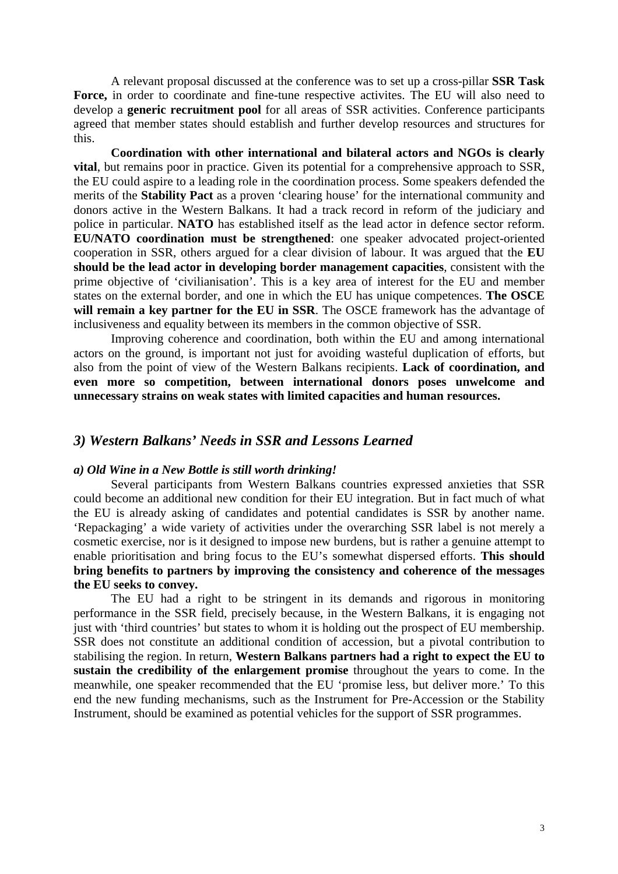A relevant proposal discussed at the conference was to set up a cross-pillar **SSR Task**  Force, in order to coordinate and fine-tune respective activites. The EU will also need to develop a **generic recruitment pool** for all areas of SSR activities. Conference participants agreed that member states should establish and further develop resources and structures for this.

**Coordination with other international and bilateral actors and NGOs is clearly vital**, but remains poor in practice. Given its potential for a comprehensive approach to SSR, the EU could aspire to a leading role in the coordination process. Some speakers defended the merits of the **Stability Pact** as a proven 'clearing house' for the international community and donors active in the Western Balkans. It had a track record in reform of the judiciary and police in particular. **NATO** has established itself as the lead actor in defence sector reform. **EU/NATO coordination must be strengthened**: one speaker advocated project-oriented cooperation in SSR, others argued for a clear division of labour. It was argued that the **EU should be the lead actor in developing border management capacities**, consistent with the prime objective of 'civilianisation'. This is a key area of interest for the EU and member states on the external border, and one in which the EU has unique competences. **The OSCE will remain a key partner for the EU in SSR**. The OSCE framework has the advantage of inclusiveness and equality between its members in the common objective of SSR.

Improving coherence and coordination, both within the EU and among international actors on the ground, is important not just for avoiding wasteful duplication of efforts, but also from the point of view of the Western Balkans recipients. **Lack of coordination, and even more so competition, between international donors poses unwelcome and unnecessary strains on weak states with limited capacities and human resources.** 

# *3) Western Balkans' Needs in SSR and Lessons Learned*

#### *a) Old Wine in a New Bottle is still worth drinking!*

Several participants from Western Balkans countries expressed anxieties that SSR could become an additional new condition for their EU integration. But in fact much of what the EU is already asking of candidates and potential candidates is SSR by another name. 'Repackaging' a wide variety of activities under the overarching SSR label is not merely a cosmetic exercise, nor is it designed to impose new burdens, but is rather a genuine attempt to enable prioritisation and bring focus to the EU's somewhat dispersed efforts. **This should bring benefits to partners by improving the consistency and coherence of the messages the EU seeks to convey.** 

The EU had a right to be stringent in its demands and rigorous in monitoring performance in the SSR field, precisely because, in the Western Balkans, it is engaging not just with 'third countries' but states to whom it is holding out the prospect of EU membership. SSR does not constitute an additional condition of accession, but a pivotal contribution to stabilising the region. In return, **Western Balkans partners had a right to expect the EU to sustain the credibility of the enlargement promise** throughout the years to come. In the meanwhile, one speaker recommended that the EU 'promise less, but deliver more.' To this end the new funding mechanisms, such as the Instrument for Pre-Accession or the Stability Instrument, should be examined as potential vehicles for the support of SSR programmes.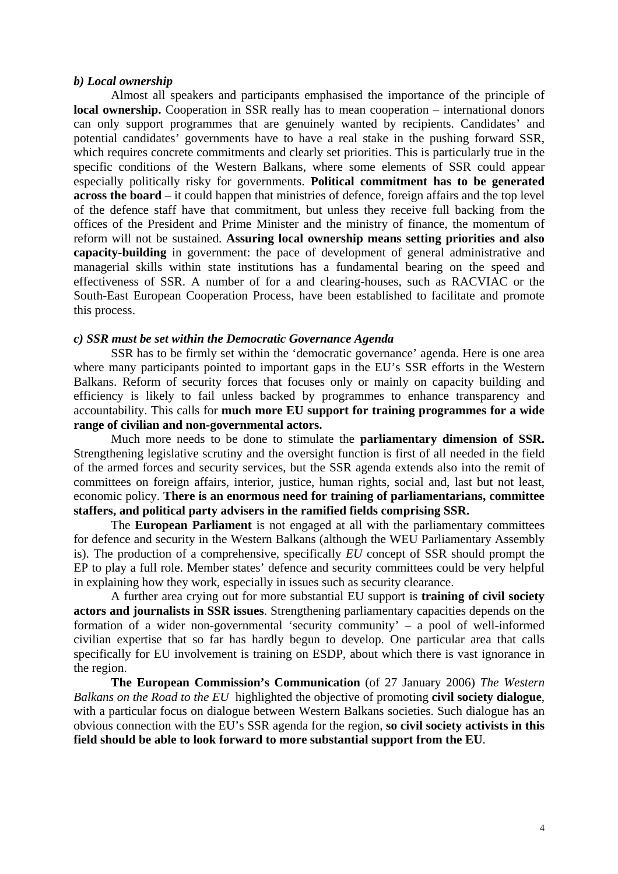#### *b) Local ownership*

Almost all speakers and participants emphasised the importance of the principle of **local ownership.** Cooperation in SSR really has to mean cooperation – international donors can only support programmes that are genuinely wanted by recipients. Candidates' and potential candidates' governments have to have a real stake in the pushing forward SSR, which requires concrete commitments and clearly set priorities. This is particularly true in the specific conditions of the Western Balkans, where some elements of SSR could appear especially politically risky for governments. **Political commitment has to be generated across the board** – it could happen that ministries of defence, foreign affairs and the top level of the defence staff have that commitment, but unless they receive full backing from the offices of the President and Prime Minister and the ministry of finance, the momentum of reform will not be sustained. **Assuring local ownership means setting priorities and also capacity-building** in government: the pace of development of general administrative and managerial skills within state institutions has a fundamental bearing on the speed and effectiveness of SSR. A number of for a and clearing-houses, such as RACVIAC or the South-East European Cooperation Process, have been established to facilitate and promote this process.

## *c) SSR must be set within the Democratic Governance Agenda*

SSR has to be firmly set within the 'democratic governance' agenda. Here is one area where many participants pointed to important gaps in the EU's SSR efforts in the Western Balkans. Reform of security forces that focuses only or mainly on capacity building and efficiency is likely to fail unless backed by programmes to enhance transparency and accountability. This calls for **much more EU support for training programmes for a wide range of civilian and non-governmental actors.**

Much more needs to be done to stimulate the **parliamentary dimension of SSR.** Strengthening legislative scrutiny and the oversight function is first of all needed in the field of the armed forces and security services, but the SSR agenda extends also into the remit of committees on foreign affairs, interior, justice, human rights, social and, last but not least, economic policy. **There is an enormous need for training of parliamentarians, committee staffers, and political party advisers in the ramified fields comprising SSR.** 

The **European Parliament** is not engaged at all with the parliamentary committees for defence and security in the Western Balkans (although the WEU Parliamentary Assembly is). The production of a comprehensive, specifically *EU* concept of SSR should prompt the EP to play a full role. Member states' defence and security committees could be very helpful in explaining how they work, especially in issues such as security clearance.

A further area crying out for more substantial EU support is **training of civil society actors and journalists in SSR issues**. Strengthening parliamentary capacities depends on the formation of a wider non-governmental 'security community' – a pool of well-informed civilian expertise that so far has hardly begun to develop. One particular area that calls specifically for EU involvement is training on ESDP, about which there is vast ignorance in the region.

**The European Commission's Communication** (of 27 January 2006) *The Western Balkans on the Road to the EU* highlighted the objective of promoting **civil society dialogue**, with a particular focus on dialogue between Western Balkans societies. Such dialogue has an obvious connection with the EU's SSR agenda for the region, **so civil society activists in this field should be able to look forward to more substantial support from the EU**.